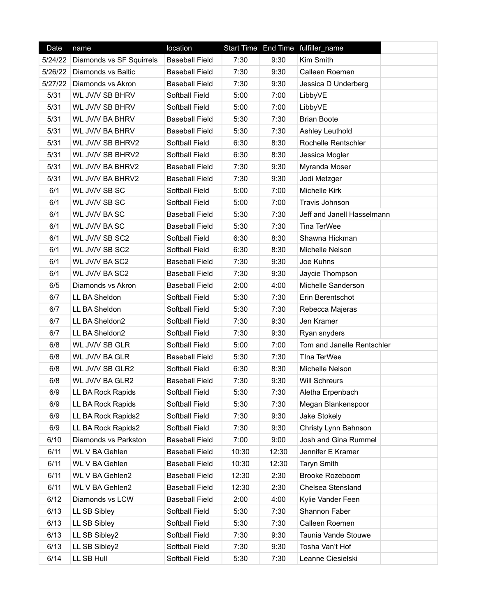| Date    | name                     | location              |       |       | Start Time End Time fulfiller_name |
|---------|--------------------------|-----------------------|-------|-------|------------------------------------|
| 5/24/22 | Diamonds vs SF Squirrels | <b>Baseball Field</b> | 7:30  | 9:30  | Kim Smith                          |
| 5/26/22 | Diamonds vs Baltic       | <b>Baseball Field</b> | 7:30  | 9:30  | Calleen Roemen                     |
| 5/27/22 | Diamonds vs Akron        | <b>Baseball Field</b> | 7:30  | 9:30  | Jessica D Underberg                |
| 5/31    | WL JV/V SB BHRV          | Softball Field        | 5:00  | 7:00  | LibbyVE                            |
| 5/31    | WL JV/V SB BHRV          | Softball Field        | 5:00  | 7:00  | LibbyVE                            |
| 5/31    | WL JV/V BA BHRV          | <b>Baseball Field</b> | 5:30  | 7:30  | <b>Brian Boote</b>                 |
| 5/31    | WL JV/V BA BHRV          | <b>Baseball Field</b> | 5:30  | 7:30  | Ashley Leuthold                    |
| 5/31    | WL JV/V SB BHRV2         | Softball Field        | 6:30  | 8:30  | Rochelle Rentschler                |
| 5/31    | WL JV/V SB BHRV2         | Softball Field        | 6:30  | 8:30  | Jessica Mogler                     |
| 5/31    | WL JV/V BA BHRV2         | <b>Baseball Field</b> | 7:30  | 9:30  | Myranda Moser                      |
| 5/31    | WL JV/V BA BHRV2         | <b>Baseball Field</b> | 7:30  | 9:30  | Jodi Metzger                       |
| 6/1     | WL JV/V SB SC            | Softball Field        | 5:00  | 7:00  | Michelle Kirk                      |
| 6/1     | WL JV/V SB SC            | Softball Field        | 5:00  | 7:00  | Travis Johnson                     |
| 6/1     | WL JV/V BA SC            | <b>Baseball Field</b> | 5:30  | 7:30  | Jeff and Janell Hasselmann         |
| 6/1     | WL JV/V BA SC            | <b>Baseball Field</b> | 5:30  | 7:30  | Tina TerWee                        |
| 6/1     | WL JV/V SB SC2           | Softball Field        | 6:30  | 8:30  | Shawna Hickman                     |
| 6/1     | WL JV/V SB SC2           | Softball Field        | 6:30  | 8:30  | Michelle Nelson                    |
| 6/1     | WL JV/V BA SC2           | <b>Baseball Field</b> | 7:30  | 9:30  | Joe Kuhns                          |
| 6/1     | WL JV/V BA SC2           | <b>Baseball Field</b> | 7:30  | 9:30  | Jaycie Thompson                    |
| 6/5     | Diamonds vs Akron        | <b>Baseball Field</b> | 2:00  | 4:00  | Michelle Sanderson                 |
| 6/7     | LL BA Sheldon            | Softball Field        | 5:30  | 7:30  | Erin Berentschot                   |
| 6/7     | LL BA Sheldon            | Softball Field        | 5:30  | 7:30  | Rebecca Majeras                    |
| 6/7     | LL BA Sheldon2           | Softball Field        | 7:30  | 9:30  | Jen Kramer                         |
| 6/7     | LL BA Sheldon2           | Softball Field        | 7:30  | 9:30  | Ryan snyders                       |
| 6/8     | WL JV/V SB GLR           | Softball Field        | 5:00  | 7:00  | Tom and Janelle Rentschler         |
| 6/8     | WL JV/V BA GLR           | <b>Baseball Field</b> | 5:30  | 7:30  | TIna TerWee                        |
| 6/8     | WL JV/V SB GLR2          | Softball Field        | 6:30  | 8:30  | Michelle Nelson                    |
| 6/8     | WL JV/V BA GLR2          | <b>Baseball Field</b> | 7:30  | 9:30  | <b>Will Schreurs</b>               |
| 6/9     | LL BA Rock Rapids        | Softball Field        | 5:30  | 7:30  | Aletha Erpenbach                   |
| 6/9     | LL BA Rock Rapids        | Softball Field        | 5:30  | 7:30  | Megan Blankenspoor                 |
| 6/9     | LL BA Rock Rapids2       | Softball Field        | 7:30  | 9:30  | Jake Stokely                       |
| 6/9     | LL BA Rock Rapids2       | Softball Field        | 7:30  | 9:30  | Christy Lynn Bahnson               |
| 6/10    | Diamonds vs Parkston     | <b>Baseball Field</b> | 7:00  | 9:00  | Josh and Gina Rummel               |
| 6/11    | <b>WL V BA Gehlen</b>    | <b>Baseball Field</b> | 10:30 | 12:30 | Jennifer E Kramer                  |
| 6/11    | WL V BA Gehlen           | <b>Baseball Field</b> | 10:30 | 12:30 | <b>Taryn Smith</b>                 |
| 6/11    | <b>WL V BA Gehlen2</b>   | <b>Baseball Field</b> | 12:30 | 2:30  | <b>Brooke Rozeboom</b>             |
| 6/11    | WL V BA Gehlen2          | <b>Baseball Field</b> | 12:30 | 2:30  | Chelsea Stensland                  |
| 6/12    | Diamonds vs LCW          | <b>Baseball Field</b> | 2:00  | 4:00  | Kylie Vander Feen                  |
| 6/13    | LL SB Sibley             | Softball Field        | 5:30  | 7:30  | Shannon Faber                      |
| 6/13    | LL SB Sibley             | Softball Field        | 5:30  | 7:30  | Calleen Roemen                     |
| 6/13    | LL SB Sibley2            | Softball Field        | 7:30  | 9:30  | Taunia Vande Stouwe                |
| 6/13    | LL SB Sibley2            | Softball Field        | 7:30  | 9:30  | Tosha Van't Hof                    |
| 6/14    | LL SB Hull               | Softball Field        | 5:30  | 7:30  | Leanne Ciesielski                  |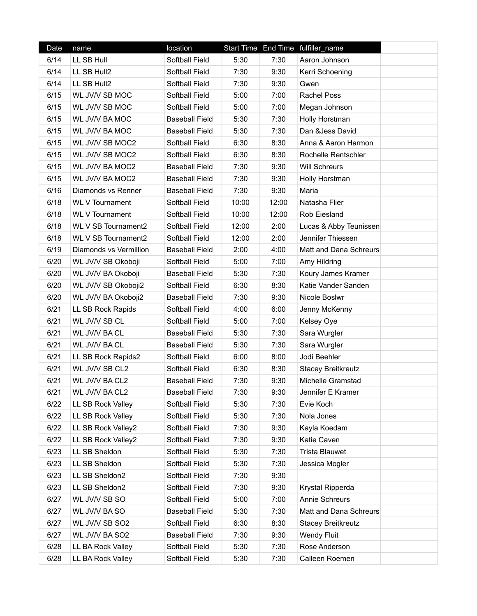| Date | name                       | location              |       |       | Start Time End Time fulfiller_name |  |
|------|----------------------------|-----------------------|-------|-------|------------------------------------|--|
| 6/14 | LL SB Hull                 | Softball Field        | 5:30  | 7:30  | Aaron Johnson                      |  |
| 6/14 | LL SB Hull2                | Softball Field        | 7:30  | 9:30  | Kerri Schoening                    |  |
| 6/14 | LL SB Hull2                | Softball Field        | 7:30  | 9:30  | Gwen                               |  |
| 6/15 | WL JV/V SB MOC             | Softball Field        | 5:00  | 7:00  | <b>Rachel Poss</b>                 |  |
| 6/15 | WL JV/V SB MOC             | Softball Field        | 5:00  | 7:00  | Megan Johnson                      |  |
| 6/15 | WL JV/V BA MOC             | <b>Baseball Field</b> | 5:30  | 7:30  | Holly Horstman                     |  |
| 6/15 | WL JV/V BA MOC             | <b>Baseball Field</b> | 5:30  | 7:30  | Dan &Jess David                    |  |
| 6/15 | WL JV/V SB MOC2            | Softball Field        | 6:30  | 8:30  | Anna & Aaron Harmon                |  |
| 6/15 | WL JV/V SB MOC2            | Softball Field        | 6:30  | 8:30  | Rochelle Rentschler                |  |
| 6/15 | WL JV/V BA MOC2            | <b>Baseball Field</b> | 7:30  | 9:30  | <b>Will Schreurs</b>               |  |
| 6/15 | WL JV/V BA MOC2            | <b>Baseball Field</b> | 7:30  | 9:30  | Holly Horstman                     |  |
| 6/16 | Diamonds vs Renner         | <b>Baseball Field</b> | 7:30  | 9:30  | Maria                              |  |
| 6/18 | <b>WL V Tournament</b>     | Softball Field        | 10:00 | 12:00 | Natasha Flier                      |  |
| 6/18 | <b>WL V Tournament</b>     | Softball Field        | 10:00 | 12:00 | Rob Eiesland                       |  |
| 6/18 | WL V SB Tournament2        | Softball Field        | 12:00 | 2:00  | Lucas & Abby Teunissen             |  |
| 6/18 | <b>WL V SB Tournament2</b> | Softball Field        | 12:00 | 2:00  | Jennifer Thiessen                  |  |
| 6/19 | Diamonds vs Vermillion     | <b>Baseball Field</b> | 2:00  | 4:00  | Matt and Dana Schreurs             |  |
| 6/20 | WL JV/V SB Okoboji         | Softball Field        | 5:00  | 7:00  | Amy Hildring                       |  |
| 6/20 | WL JV/V BA Okoboji         | <b>Baseball Field</b> | 5:30  | 7:30  | Koury James Kramer                 |  |
| 6/20 | WL JV/V SB Okoboji2        | Softball Field        | 6:30  | 8:30  | Katie Vander Sanden                |  |
| 6/20 | WL JV/V BA Okoboji2        | <b>Baseball Field</b> | 7:30  | 9:30  | Nicole Boslwr                      |  |
| 6/21 | LL SB Rock Rapids          | Softball Field        | 4:00  | 6:00  | Jenny McKenny                      |  |
| 6/21 | WL JV/V SB CL              | Softball Field        | 5:00  | 7:00  | Kelsey Oye                         |  |
| 6/21 | WL JV/V BA CL              | <b>Baseball Field</b> | 5:30  | 7:30  | Sara Wurgler                       |  |
| 6/21 | WL JV/V BA CL              | <b>Baseball Field</b> | 5:30  | 7:30  | Sara Wurgler                       |  |
| 6/21 | LL SB Rock Rapids2         | Softball Field        | 6:00  | 8:00  | Jodi Beehler                       |  |
| 6/21 | WL JV/V SB CL2             | Softball Field        | 6:30  | 8:30  | <b>Stacey Breitkreutz</b>          |  |
| 6/21 | WL JV/V BA CL2             | <b>Baseball Field</b> | 7:30  | 9:30  | Michelle Gramstad                  |  |
| 6/21 | WL JV/V BA CL2             | Baseball Field        | 7:30  | 9:30  | Jennifer E Kramer                  |  |
| 6/22 | LL SB Rock Valley          | Softball Field        | 5:30  | 7:30  | Evie Koch                          |  |
| 6/22 | LL SB Rock Valley          | Softball Field        | 5:30  | 7:30  | Nola Jones                         |  |
| 6/22 | LL SB Rock Valley2         | Softball Field        | 7:30  | 9:30  | Kayla Koedam                       |  |
| 6/22 | LL SB Rock Valley2         | Softball Field        | 7:30  | 9:30  | Katie Caven                        |  |
| 6/23 | LL SB Sheldon              | Softball Field        | 5:30  | 7:30  | <b>Trista Blauwet</b>              |  |
| 6/23 | LL SB Sheldon              | Softball Field        | 5:30  | 7:30  | Jessica Mogler                     |  |
| 6/23 | LL SB Sheldon2             | Softball Field        | 7:30  | 9:30  |                                    |  |
| 6/23 | LL SB Sheldon2             | Softball Field        | 7:30  | 9:30  | Krystal Ripperda                   |  |
| 6/27 | WL JV/V SB SO              | Softball Field        | 5:00  | 7:00  | <b>Annie Schreurs</b>              |  |
| 6/27 | WL JV/V BA SO              | <b>Baseball Field</b> | 5:30  | 7:30  | Matt and Dana Schreurs             |  |
| 6/27 | WL JV/V SB SO2             | Softball Field        | 6:30  | 8:30  | <b>Stacey Breitkreutz</b>          |  |
| 6/27 | WL JV/V BA SO2             | <b>Baseball Field</b> | 7:30  | 9:30  | <b>Wendy Fluit</b>                 |  |
| 6/28 | LL BA Rock Valley          | Softball Field        | 5:30  | 7:30  | Rose Anderson                      |  |
| 6/28 | LL BA Rock Valley          | Softball Field        | 5:30  | 7:30  | Calleen Roemen                     |  |